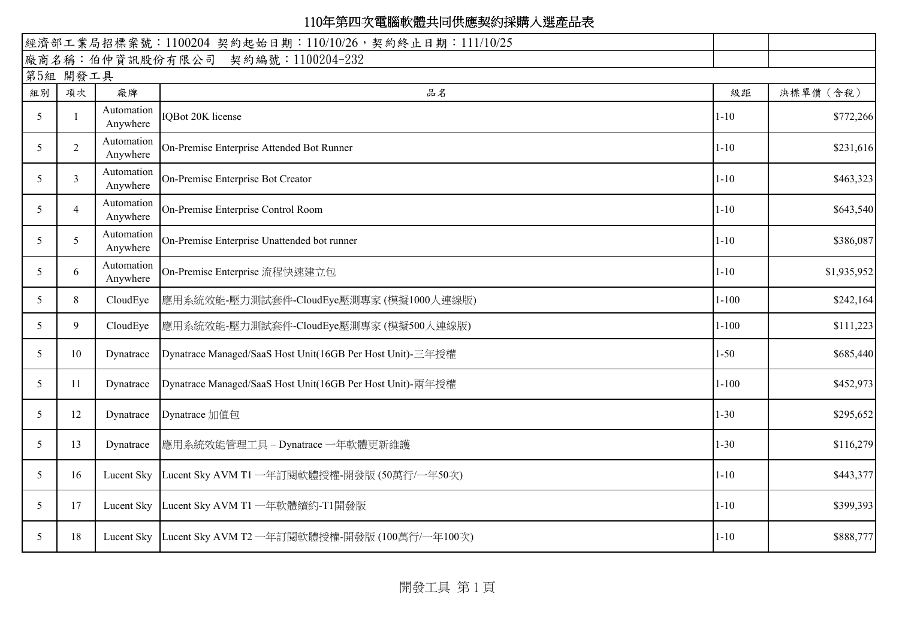| 經濟部工業局招標案號: 1100204 契約起始日期: 110/10/26, 契約終止日期: 111/10/25 |                                  |                        |                                                           |           |             |  |  |
|----------------------------------------------------------|----------------------------------|------------------------|-----------------------------------------------------------|-----------|-------------|--|--|
|                                                          | 廠商名稱:伯仲資訊股份有限公司 契約編號:1100204-232 |                        |                                                           |           |             |  |  |
|                                                          | 第5組 開發工具                         |                        |                                                           |           |             |  |  |
| 組別                                                       | 項次                               | 廠牌                     | 品名                                                        | 級距        | 決標單價 (含稅)   |  |  |
| 5                                                        |                                  | Automation<br>Anywhere | <b>IQBot 20K license</b>                                  | $1 - 10$  | \$772,266   |  |  |
| 5                                                        | $\overline{2}$                   | Automation<br>Anywhere | On-Premise Enterprise Attended Bot Runner                 | $1 - 10$  | \$231,616   |  |  |
| 5                                                        | 3                                | Automation<br>Anywhere | On-Premise Enterprise Bot Creator                         | $1 - 10$  | \$463,323   |  |  |
| 5                                                        | $\overline{4}$                   | Automation<br>Anywhere | On-Premise Enterprise Control Room                        | $1 - 10$  | \$643,540   |  |  |
| 5                                                        | 5 <sup>1</sup>                   | Automation<br>Anywhere | On-Premise Enterprise Unattended bot runner               | $1 - 10$  | \$386,087   |  |  |
| 5                                                        | 6                                | Automation<br>Anywhere | On-Premise Enterprise 流程快速建立包                             | $1 - 10$  | \$1,935,952 |  |  |
| 5                                                        | 8                                | CloudEye               | 應用系統效能-壓力測試套件-CloudEye壓測專家 (模擬1000人連線版)                   | $1 - 100$ | \$242,164   |  |  |
| 5                                                        | 9                                | CloudEye               | 應用系統效能-壓力測試套件-CloudEye壓測專家 (模擬500人連線版)                    | $1 - 100$ | \$111,223   |  |  |
| 5                                                        | 10                               | Dynatrace              | Dynatrace Managed/SaaS Host Unit(16GB Per Host Unit)-三年授權 | $1 - 50$  | \$685,440   |  |  |
| 5                                                        | 11                               | Dynatrace              | Dynatrace Managed/SaaS Host Unit(16GB Per Host Unit)-兩年授權 | $1 - 100$ | \$452,973   |  |  |
| 5                                                        | 12                               | Dynatrace              | Dynatrace 加值包                                             | $1 - 30$  | \$295,652   |  |  |
| 5                                                        | 13                               | Dynatrace              | 應用系統效能管理工具-Dynatrace 一年軟體更新維護                             | $1 - 30$  | \$116,279   |  |  |
| 5                                                        | 16                               |                        | Lucent Sky Lucent Sky AVM T1 一年訂閱軟體授權-開發版 (50萬行/一年50次)    | $1 - 10$  | \$443,377   |  |  |
| 5                                                        | 17                               |                        | Lucent Sky Lucent Sky AVM T1 一年軟體續約-T1開發版                 | $1 - 10$  | \$399,393   |  |  |
| 5                                                        | 18                               |                        | Lucent Sky Lucent Sky AVM T2 一年訂閱軟體授權-開發版 (100萬行/一年100次)  | $1 - 10$  | \$888,777   |  |  |

開發工具 第1頁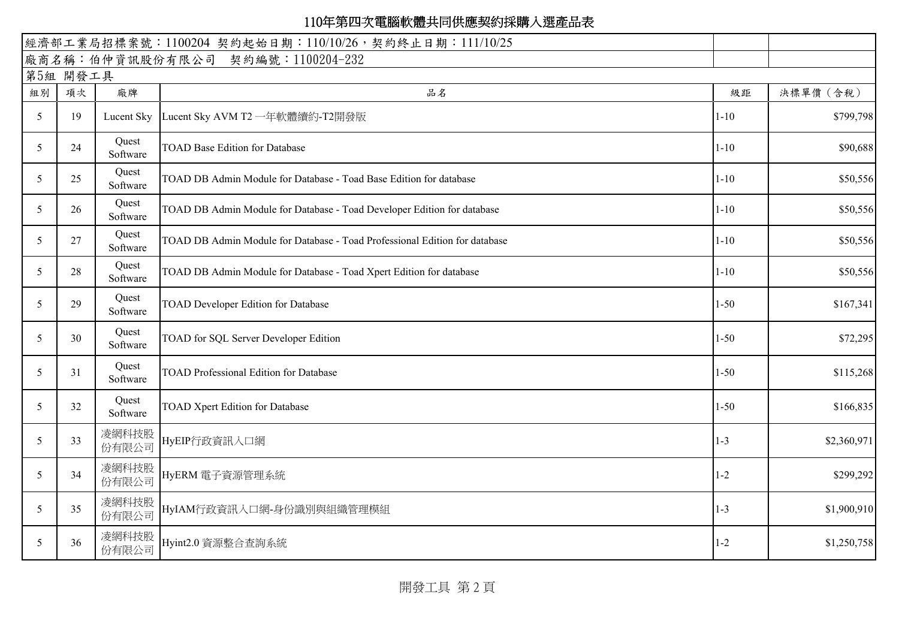| 經濟部工業局招標案號: 1100204 契約起始日期: 110/10/26, 契約終止日期: 111/10/25 |                                  |                   |                                                                            |          |             |  |  |
|----------------------------------------------------------|----------------------------------|-------------------|----------------------------------------------------------------------------|----------|-------------|--|--|
|                                                          | 廠商名稱:伯仲資訊股份有限公司 契約編號:1100204-232 |                   |                                                                            |          |             |  |  |
| 第5組 開發工具                                                 |                                  |                   |                                                                            |          |             |  |  |
| 組別                                                       | 項次                               | 廠牌                | 品名                                                                         | 級距       | 決標單價 (含稅)   |  |  |
| 5                                                        | 19                               |                   | Lucent Sky  Lucent Sky AVM T2 一年軟體續約-T2開發版                                 | $1 - 10$ | \$799,798   |  |  |
| 5                                                        | 24                               | Quest<br>Software | <b>TOAD Base Edition for Database</b>                                      | $1 - 10$ | \$90,688    |  |  |
| 5                                                        | 25                               | Quest<br>Software | TOAD DB Admin Module for Database - Toad Base Edition for database         | $1 - 10$ | \$50,556    |  |  |
| 5                                                        | 26                               | Quest<br>Software | TOAD DB Admin Module for Database - Toad Developer Edition for database    | $1 - 10$ | \$50,556    |  |  |
| 5                                                        | 27                               | Quest<br>Software | TOAD DB Admin Module for Database - Toad Professional Edition for database | $1 - 10$ | \$50,556    |  |  |
| 5                                                        | 28                               | Quest<br>Software | TOAD DB Admin Module for Database - Toad Xpert Edition for database        | $1 - 10$ | \$50,556    |  |  |
| 5                                                        | 29                               | Quest<br>Software | <b>TOAD Developer Edition for Database</b>                                 | $1 - 50$ | \$167,341   |  |  |
| 5                                                        | 30                               | Quest<br>Software | TOAD for SQL Server Developer Edition                                      | $1 - 50$ | \$72,295    |  |  |
| 5                                                        | 31                               | Quest<br>Software | <b>TOAD Professional Edition for Database</b>                              | $1 - 50$ | \$115,268   |  |  |
| 5                                                        | 32                               | Quest<br>Software | <b>TOAD Xpert Edition for Database</b>                                     | $1 - 50$ | \$166,835   |  |  |
| 5                                                        | 33                               | 凌網科技股<br>份有限公司    | HyEIP行政資訊入口網                                                               | $1 - 3$  | \$2,360,971 |  |  |
| 5                                                        | 34                               | 凌網科技股<br>份有限公司    | HyERM 電子資源管理系統                                                             | $1 - 2$  | \$299,292   |  |  |
| 5                                                        | 35                               | 凌網科技股<br>份有限公司    | HyIAM行政資訊入口網-身份識別與組織管理模組                                                   | $1 - 3$  | \$1,900,910 |  |  |
| 5                                                        | 36                               | 凌網科技股<br>份有限公司    | Hyint2.0 資源整合查詢系統                                                          | $1 - 2$  | \$1,250,758 |  |  |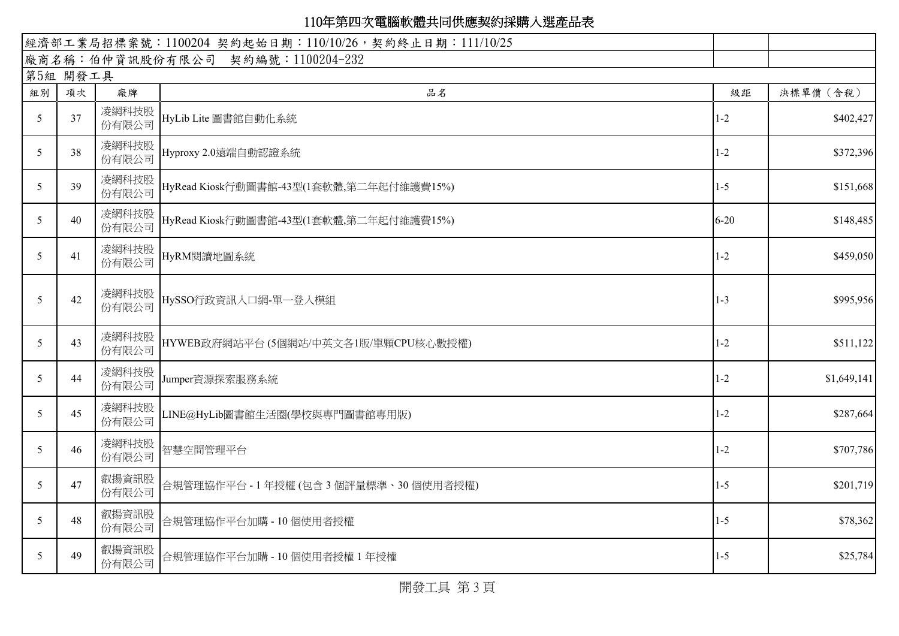|    | 經濟部工業局招標案號: 1100204 契約起始日期: 110/10/26, 契約終止日期: 111/10/25 |                |                                         |          |             |  |  |
|----|----------------------------------------------------------|----------------|-----------------------------------------|----------|-------------|--|--|
|    | 廠商名稱:伯仲資訊股份有限公司 契約編號:1100204-232                         |                |                                         |          |             |  |  |
|    | 第5組 開發工具                                                 |                |                                         |          |             |  |  |
| 組別 | 項次                                                       | 廠牌             | 品名                                      | 級距       | 決標單價 (含稅)   |  |  |
| 5  | 37                                                       | 凌網科技股<br>份有限公司 | HyLib Lite 圖書館自動化系統                     | $1 - 2$  | \$402,427   |  |  |
| 5  | 38                                                       | 凌網科技股<br>份有限公司 | Hyproxy 2.0遠端自動認證系統                     | $1 - 2$  | \$372,396   |  |  |
| 5  | 39                                                       | 凌網科技股<br>份有限公司 | HyRead Kiosk行動圖書館-43型(1套軟體,第二年起付維護費15%) | $1 - 5$  | \$151,668   |  |  |
| 5  | 40                                                       | 凌網科技股<br>份有限公司 | HyRead Kiosk行動圖書館-43型(1套軟體,第二年起付維護費15%) | $6 - 20$ | \$148,485   |  |  |
| 5  | 41                                                       | 凌網科技股<br>份有限公司 | HyRM閱讀地圖系統                              | $1 - 2$  | \$459,050   |  |  |
| 5  | 42                                                       | 凌網科技股<br>份有限公司 | HySSO行政資訊入口網-單一登入模組                     | $1 - 3$  | \$995,956   |  |  |
| 5  | 43                                                       | 凌網科技股<br>份有限公司 | HYWEB政府網站平台 (5個網站/中英文各1版/單顆CPU核心數授權)    | $1 - 2$  | \$511,122   |  |  |
| 5  | 44                                                       | 凌網科技股<br>份有限公司 | Jumper資源探索服務系統                          | $1 - 2$  | \$1,649,141 |  |  |
| 5  | 45                                                       | 凌網科技股<br>份有限公司 | LINE@HyLib圖書館生活圈(學校與專門圖書館專用版)           | $1 - 2$  | \$287,664   |  |  |
| 5  | 46                                                       | 凌網科技股<br>份有限公司 | 智慧空間管理平台                                | $1 - 2$  | \$707,786   |  |  |
| 5  | 47                                                       | 叡揚資訊股<br>份有限公司 | 合規管理協作平台 - 1 年授權 (包含 3 個評量標準、30 個使用者授權) | $1 - 5$  | \$201,719   |  |  |
| 5  | 48                                                       | 叡揚資訊股<br>份有限公司 | 合規管理協作平台加購 - 10個使用者授權                   | $1 - 5$  | \$78,362    |  |  |
| 5  | 49                                                       | 叡揚資訊股<br>份有限公司 | 合規管理協作平台加購 - 10個使用者授權 1年授權              | $1 - 5$  | \$25,784    |  |  |